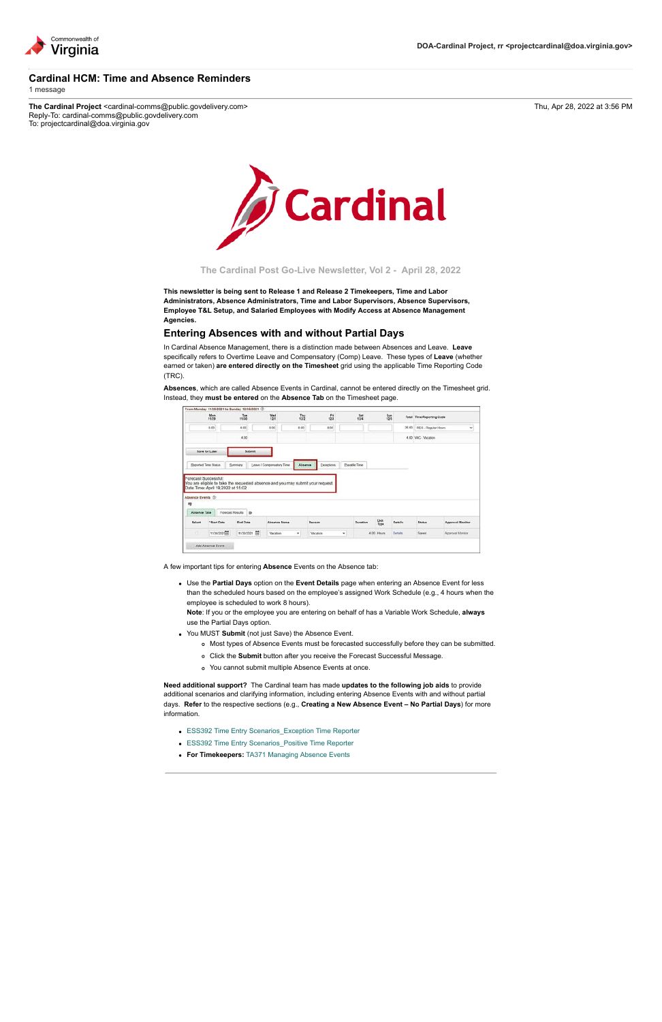

## **Cardinal HCM: Time and Absence Reminders** 1 message

The Cardinal Project <cardinal-comms@public.govdelivery.com> Thu, Apr 28, 2022 at 3:56 PM Reply-To: cardinal-comms@public.govdelivery.com To: projectcardinal@doa.virginia.gov



**The Cardinal Post Go-Live Newsletter, Vol 2 - April 28, 2022**

**This newsletter is being sent to Release 1 and Release 2 Timekeepers, Time and Labor Administrators, Absence Administrators, Time and Labor Supervisors, Absence Supervisors, Employee T&L Setup, and Salaried Employees with Modify Access at Absence Management Agencies.**

## **Entering Absences with and without Partial Days**

In Cardinal Absence Management, there is a distinction made between Absences and Leave. **Leave** specifically refers to Overtime Leave and Compensatory (Comp) Leave. These types of **Leave** (whether earned or taken) **are entered directly on the Timesheet** grid using the applicable Time Reporting Code (TRC).

**Absences**, which are called Absence Events in Cardinal, cannot be entered directly on the Timesheet grid. Instead, they **must be entered** on the **Absence Tab** on the Timesheet page.

|                             | Mon<br>11/29                      | $rac{756}{1120}$                                                                | Wed<br>12/1               |              | $\frac{7h}{122}$ | Fri<br>this |              | <b>Sat</b><br>12/4 | $\frac{5m}{126}$ |                | Total Time Reporting Code |                  |
|-----------------------------|-----------------------------------|---------------------------------------------------------------------------------|---------------------------|--------------|------------------|-------------|--------------|--------------------|------------------|----------------|---------------------------|------------------|
|                             | 0.00                              | 4.00                                                                            | 8.00                      |              | 8.00             | 8.00        |              |                    |                  |                | 36.00 REG - Regular Hours |                  |
|                             |                                   | 4.00                                                                            |                           |              |                  |             |              |                    |                  |                | 4.00 VAC - Vacation       |                  |
|                             | Save for Later                    | Submit                                                                          |                           |              |                  |             |              |                    |                  |                |                           |                  |
|                             |                                   |                                                                                 |                           |              |                  |             |              |                    |                  |                |                           |                  |
| <b>Seported Time Status</b> |                                   | Summary                                                                         | Leave / Compensatory Time |              | Absence          | Exceptions. | Payable Time |                    |                  |                |                           |                  |
|                             | Forecast Successful:              | You are eligible to take the requested absence and you may submit your request. |                           |              |                  |             |              |                    |                  |                |                           |                  |
| Absence Events (D)          | Date Time: April 19,2022 at 15:02 |                                                                                 |                           |              |                  |             |              |                    |                  |                |                           |                  |
| 帶<br>Absence Take           |                                   | Forecast Results B                                                              |                           |              |                  |             |              |                    |                  |                |                           |                  |
| Select                      | "Start Date                       | End Date                                                                        |                           | Absence Name |                  | Reason      |              | Duration           | Unit<br>Type     | <b>Details</b> | <b>Status</b>             | Approval Monitor |

- [ESS392 Time Entry Scenarios\\_Exception Time Reporter](https://lnks.gd/l/eyJhbGciOiJIUzI1NiJ9.eyJidWxsZXRpbl9saW5rX2lkIjoxMDAsInVyaSI6ImJwMjpjbGljayIsImJ1bGxldGluX2lkIjoiMjAyMjA0MjguNTcxMzczODEiLCJ1cmwiOiJodHRwczovL3d3dy5jYXJkaW5hbHByb2plY3QudmlyZ2luaWEuZ292L3NpdGVzL2RlZmF1bHQvZmlsZXMvMjAyMS0wOS9FU1MzOTIlMjBUaW1lJTIwRW50cnklMjBTY2VuYXJpb3NfRXhjZXB0aW9uJTIwVGltZSUyMFJlcG9ydGVyLnBkZiJ9.ACFWEkzdxnriOT7glsuRx3KQEejG5QNSH1TZfMxJfa8/s/2164139144/br/130543607242-l)
- ESS392 Time Entry Scenarios Positive Time Reporter

A few important tips for entering **Absence** Events on the Absence tab:

Use the **Partial Days** option on the **Event Details** page when entering an Absence Event for less than the scheduled hours based on the employee's assigned Work Schedule (e.g., 4 hours when the employee is scheduled to work 8 hours).

**Note**: If you or the employee you are entering on behalf of has a Variable Work Schedule, **always** use the Partial Days option.

- You MUST **Submit** (not just Save) the Absence Event.
	- Most types of Absence Events must be forecasted successfully before they can be submitted.
	- Click the **Submit** button after you receive the Forecast Successful Message.
	- You cannot submit multiple Absence Events at once.

**Need additional support?** The Cardinal team has made **updates to the following job aids** to provide additional scenarios and clarifying information, including entering Absence Events with and without partial days. **Refer** to the respective sections (e.g., **Creating a New Absence Event – No Partial Days**) for more information.

**For Timekeepers:** [TA371 Managing Absence Events](https://lnks.gd/l/eyJhbGciOiJIUzI1NiJ9.eyJidWxsZXRpbl9saW5rX2lkIjoxMDIsInVyaSI6ImJwMjpjbGljayIsImJ1bGxldGluX2lkIjoiMjAyMjA0MjguNTcxMzczODEiLCJ1cmwiOiJodHRwczovL3d3dy5jYXJkaW5hbHByb2plY3QudmlyZ2luaWEuZ292L3NpdGVzL2RlZmF1bHQvZmlsZXMvMjAyMi0wNC9UQTM3MV9NYW5hZ2luZyUyMEFic2VuY2UlMjBFdmVudHMucGRmIn0.WHfVu_Lpcg8SpszjjlzIgcCRjc7sfrS6NMmru6IKwu0/s/2164139144/br/130543607242-l)